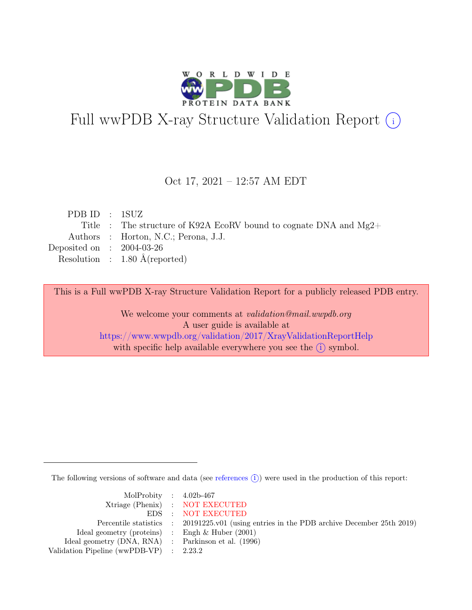

# Full wwPDB X-ray Structure Validation Report  $(i)$

### Oct 17, 2021 – 12:57 AM EDT

| PDBID : 1SUZ                |                                                                     |
|-----------------------------|---------------------------------------------------------------------|
|                             | Title : The structure of K92A EcoRV bound to cognate DNA and $Mg2+$ |
|                             | Authors : Horton, N.C.; Perona, J.J.                                |
| Deposited on : $2004-03-26$ |                                                                     |
|                             | Resolution : $1.80 \text{ Å}$ (reported)                            |
|                             |                                                                     |

This is a Full wwPDB X-ray Structure Validation Report for a publicly released PDB entry.

We welcome your comments at validation@mail.wwpdb.org A user guide is available at <https://www.wwpdb.org/validation/2017/XrayValidationReportHelp> with specific help available everywhere you see the  $(i)$  symbol.

The following versions of software and data (see [references](https://www.wwpdb.org/validation/2017/XrayValidationReportHelp#references)  $(i)$ ) were used in the production of this report:

| MolProbity : $4.02b-467$                            |                                                                                            |
|-----------------------------------------------------|--------------------------------------------------------------------------------------------|
|                                                     | Xtriage (Phenix) : NOT EXECUTED                                                            |
|                                                     | EDS : NOT EXECUTED                                                                         |
|                                                     | Percentile statistics : 20191225.v01 (using entries in the PDB archive December 25th 2019) |
| Ideal geometry (proteins) : Engh $\&$ Huber (2001)  |                                                                                            |
| Ideal geometry (DNA, RNA) : Parkinson et al. (1996) |                                                                                            |
| Validation Pipeline (wwPDB-VP) : 2.23.2             |                                                                                            |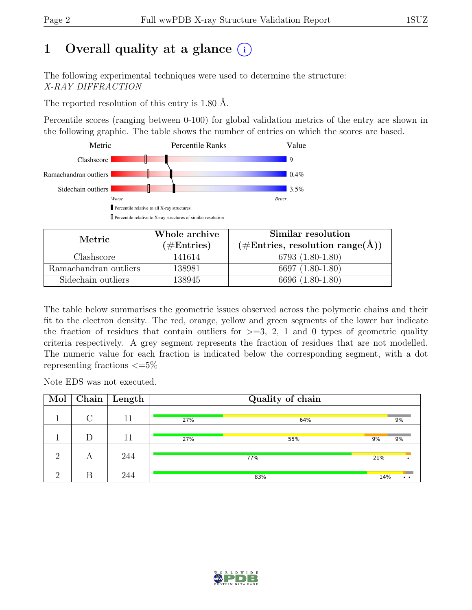# 1 Overall quality at a glance  $(i)$

The following experimental techniques were used to determine the structure: X-RAY DIFFRACTION

The reported resolution of this entry is 1.80 Å.

Percentile scores (ranging between 0-100) for global validation metrics of the entry are shown in the following graphic. The table shows the number of entries on which the scores are based.



| Metric                | Whole archive | Similar resolution                                           |
|-----------------------|---------------|--------------------------------------------------------------|
|                       | $(\#Entries)$ | $(\#\text{Entries}, \, \text{resolution range}(\textup{A}))$ |
| Clashscore            | 141614        | $6793(1.80-1.80)$                                            |
| Ramachandran outliers | 138981        | 6697 (1.80-1.80)                                             |
| Sidechain outliers    | 138945        | 6696 (1.80-1.80)                                             |

The table below summarises the geometric issues observed across the polymeric chains and their fit to the electron density. The red, orange, yellow and green segments of the lower bar indicate the fraction of residues that contain outliers for  $\geq$ =3, 2, 1 and 0 types of geometric quality criteria respectively. A grey segment represents the fraction of residues that are not modelled. The numeric value for each fraction is indicated below the corresponding segment, with a dot representing fractions  $\epsilon = 5\%$ 

Note EDS was not executed.

| Mol      |   | $\overline{\text{Chain}}$ Length |     | Quality of chain |                              |
|----------|---|----------------------------------|-----|------------------|------------------------------|
|          |   | 11                               | 27% | 64%              | 9%                           |
|          | D | 11                               | 27% | 55%              | 9%<br>9%                     |
| $\Omega$ | А | 244                              |     | 77%              | 21%                          |
| $\Omega$ | R | 244                              |     | 83%              | 14%<br>$\bullet\quad\bullet$ |

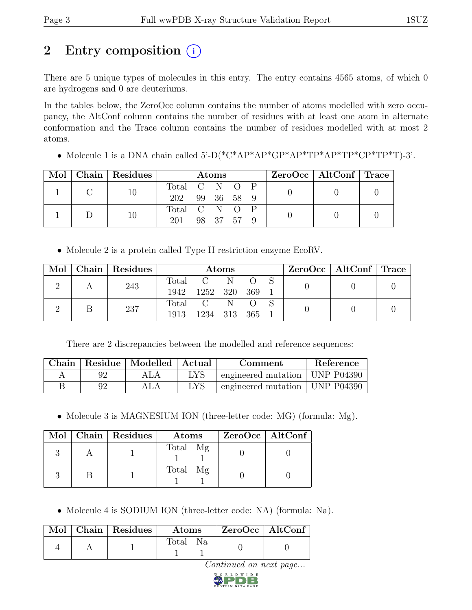# 2 Entry composition (i)

There are 5 unique types of molecules in this entry. The entry contains 4565 atoms, of which 0 are hydrogens and 0 are deuteriums.

In the tables below, the ZeroOcc column contains the number of atoms modelled with zero occupancy, the AltConf column contains the number of residues with at least one atom in alternate conformation and the Trace column contains the number of residues modelled with at most 2 atoms.

• Molecule 1 is a DNA chain called 5'-D(\*C\*AP\*AP\*GP\*AP\*TP\*AP\*TP\*CP\*TP\*T)-3'.

| Mol | Chain Residues |               | Atoms |            |  | $ZeroOcc \mid AltConf \mid Trace$ |  |
|-----|----------------|---------------|-------|------------|--|-----------------------------------|--|
|     |                | Total C N O P |       |            |  |                                   |  |
|     |                | 202           |       | 99 36 58 9 |  |                                   |  |
|     |                | Total C N O P |       |            |  |                                   |  |
|     | 10             | 201           |       | 98 37 57 9 |  |                                   |  |

• Molecule 2 is a protein called Type II restriction enzyme EcoRV.

|  | Mol   Chain   Residues |             |               | <b>Atoms</b> |  | $ZeroOcc \mid AltConf \mid Trace$ |  |
|--|------------------------|-------------|---------------|--------------|--|-----------------------------------|--|
|  | 243                    |             | Total C N O S |              |  |                                   |  |
|  |                        | 1942        | 1252 320 369  |              |  |                                   |  |
|  | 237                    | Total C N O |               |              |  |                                   |  |
|  |                        | 1913        | 1234 313 365  |              |  |                                   |  |

There are 2 discrepancies between the modelled and reference sequences:

| Chain |    | Residue   Modelled   Actual |     | Comment                          | Reference |
|-------|----|-----------------------------|-----|----------------------------------|-----------|
|       |    |                             | LYS | engineered mutation   UNP P04390 |           |
|       | 92 |                             | LYS | engineered mutation   UNP P04390 |           |

• Molecule 3 is MAGNESIUM ION (three-letter code: MG) (formula: Mg).

|  | Mol   Chain   Residues | Atoms    | $ZeroOcc \   \$ AltConf |
|--|------------------------|----------|-------------------------|
|  |                        | Total Mg |                         |
|  |                        | Total Mg |                         |

• Molecule 4 is SODIUM ION (three-letter code: NA) (formula: Na).

|  | Mol   Chain   Residues | $\rm{Atoms}$ |                |  | ZeroOcc   AltConf |
|--|------------------------|--------------|----------------|--|-------------------|
|  |                        | Total        | N <sub>a</sub> |  |                   |

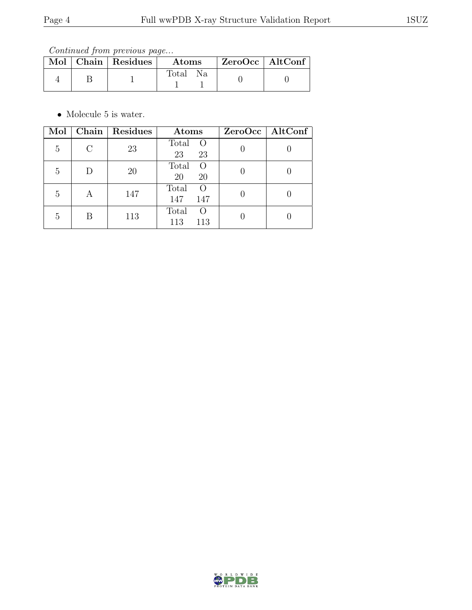Continued from previous page...

|  | Mol   Chain   Residues | $\boldsymbol{\mathrm{Atoms}}$ | $\mid$ ZeroOcc $\mid$ AltConf |  |
|--|------------------------|-------------------------------|-------------------------------|--|
|  |                        | Total Na                      |                               |  |

 $\bullet\,$  Molecule 5 is water.

| Mol            |   | Chain   Residues | Atoms                                   | ZeroOcc   AltConf |
|----------------|---|------------------|-----------------------------------------|-------------------|
| 5              |   | 23               | Total<br>$\circ$<br>23<br>23            |                   |
| $\overline{5}$ | D | <b>20</b>        | Total<br>$\left( \right)$<br>20<br>20   |                   |
| $\overline{5}$ | A | 147              | Total<br>$\left( \right)$<br>147<br>147 |                   |
| 5              | R | 113              | Total<br>$\left( \right)$<br>113<br>113 |                   |

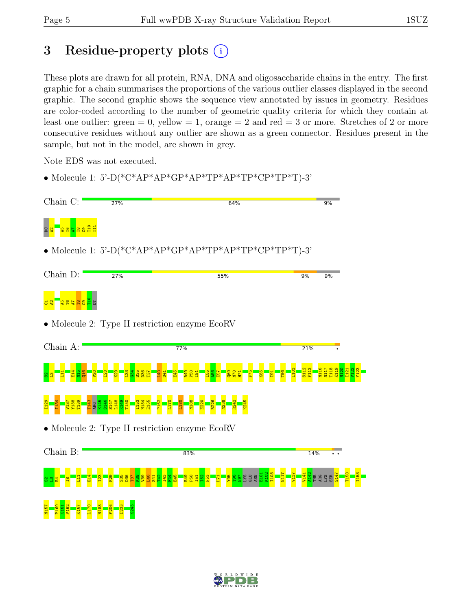# 3 Residue-property plots  $(i)$

These plots are drawn for all protein, RNA, DNA and oligosaccharide chains in the entry. The first graphic for a chain summarises the proportions of the various outlier classes displayed in the second graphic. The second graphic shows the sequence view annotated by issues in geometry. Residues are color-coded according to the number of geometric quality criteria for which they contain at least one outlier: green  $= 0$ , yellow  $= 1$ , orange  $= 2$  and red  $= 3$  or more. Stretches of 2 or more consecutive residues without any outlier are shown as a green connector. Residues present in the sample, but not in the model, are shown in grey.

Note EDS was not executed.

• Molecule 1: 5'-D(\* $C^*AP^*AP^*GP^*AP^*TP^*AP^*TP^*CP^*TP^*TP^*T$ )-3'

| Chain C:                                        | 27% | 64%                                                    | 9%       |
|-------------------------------------------------|-----|--------------------------------------------------------|----------|
| <mark>ម្ម មាន មិន</mark>                        |     |                                                        |          |
|                                                 |     | • Molecule 1: 5'-D(*C*AP*AP*GP*AP*TP*AP*TP*CP*TP*T)-3' |          |
| Chain D:                                        | 27% | 55%                                                    | 9%<br>9% |
| $\frac{10}{10}$ $\frac{10}{10}$ $\frac{10}{10}$ |     |                                                        |          |
|                                                 |     | • Molecule 2: Type II restriction enzyme EcoRV         |          |
| Chain A:                                        |     | 77%                                                    | 21%      |



#### I129 I134 V137 Y138 T139 T143 ARG K145 S146 S147 L148 K149 T150 I153 N154 E155 P162 L170 L180 N188 E220 R226 N238 R242 K245

• Molecule 2: Type II restriction enzyme EcoRV



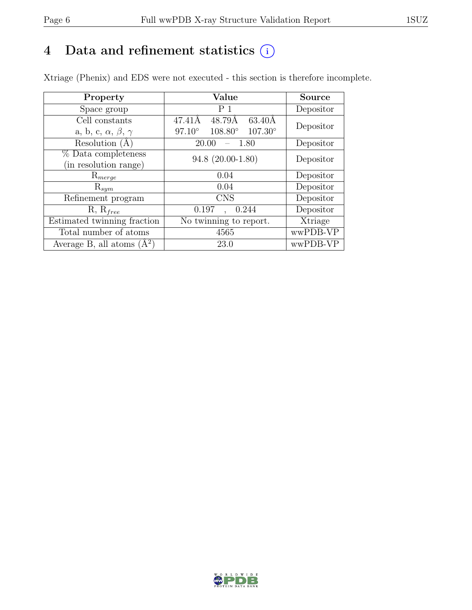# 4 Data and refinement statistics  $(i)$

Xtriage (Phenix) and EDS were not executed - this section is therefore incomplete.

| Property                               | Value                                                   | <b>Source</b> |  |
|----------------------------------------|---------------------------------------------------------|---------------|--|
| Space group                            | P <sub>1</sub>                                          | Depositor     |  |
| Cell constants                         | 47.41Å<br>48.79Å<br>$63.40\text{\AA}$                   | Depositor     |  |
| a, b, c, $\alpha$ , $\beta$ , $\gamma$ | $97.10^{\circ}$<br>$108.80^{\circ}$<br>$107.30^{\circ}$ |               |  |
| Resolution (A                          | -1.80<br>20.00                                          | Depositor     |  |
| % Data completeness                    | 94.8 (20.00-1.80)                                       | Depositor     |  |
| (in resolution range)                  |                                                         |               |  |
| $\mathrm{R}_{merge}$                   | 0.04                                                    | Depositor     |  |
| $\mathrm{R}_{sym}$                     | 0.04                                                    | Depositor     |  |
| Refinement program                     | <b>CNS</b>                                              | Depositor     |  |
| $R, R_{free}$                          | 0.197<br>0.244                                          | Depositor     |  |
| Estimated twinning fraction            | No twinning to report.                                  | Xtriage       |  |
| Total number of atoms                  | 4565                                                    | wwPDB-VP      |  |
| Average B, all atoms $(A^2)$           | 23.0                                                    | wwPDB-VP      |  |

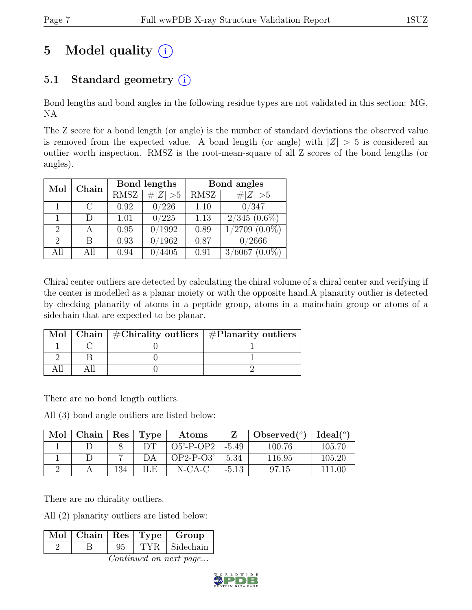# 5 Model quality  $(i)$

# 5.1 Standard geometry  $(i)$

Bond lengths and bond angles in the following residue types are not validated in this section: MG, NA

The Z score for a bond length (or angle) is the number of standard deviations the observed value is removed from the expected value. A bond length (or angle) with  $|Z| > 5$  is considered an outlier worth inspection. RMSZ is the root-mean-square of all Z scores of the bond lengths (or angles).

| Mol                         | Chain | Bond lengths |             | Bond angles |                    |
|-----------------------------|-------|--------------|-------------|-------------|--------------------|
|                             |       | <b>RMSZ</b>  | # $ Z  > 5$ | RMSZ        | # $ Z >5$          |
|                             | C     | 0.92         | 0/226       | 1.10        | 0/347              |
|                             | D     | 1.01         | 0/225       | 1.13        | $2/345(0.6\%)$     |
| $\overline{2}$              |       | 0.95         | 0/1992      | 0.89        | $1/2709$ $(0.0\%)$ |
| $\mathcal{D}_{\mathcal{L}}$ | В     | 0.93         | 0/1962      | 0.87        | 0/2666             |
| All                         | All   | 0.94         | 4405        | 0.91        | $3/6067$ $(0.0\%)$ |

Chiral center outliers are detected by calculating the chiral volume of a chiral center and verifying if the center is modelled as a planar moiety or with the opposite hand.A planarity outlier is detected by checking planarity of atoms in a peptide group, atoms in a mainchain group or atoms of a sidechain that are expected to be planar.

|  | Mol   Chain   $\#\text{Chirality outliers}$   $\#\text{Planarity outliers}$ |
|--|-----------------------------------------------------------------------------|
|  |                                                                             |
|  |                                                                             |
|  |                                                                             |

There are no bond length outliers.

All (3) bond angle outliers are listed below:

| Mol | Chain | Res | Type | Atoms        |         | Observed $(°)$ | Ideal(°) |
|-----|-------|-----|------|--------------|---------|----------------|----------|
|     |       |     |      | $O5'$ -P-OP2 | $-5.49$ | 100.76         | 105.70   |
|     |       |     |      | OP2-P-O3'    | 5.34    | 116.95         | 105.20   |
|     |       | 134 | ILE  | $N$ -CA-C    | $-5.13$ | 97.15          | 111 00   |

There are no chirality outliers.

All (2) planarity outliers are listed below:

| TYR Sidechain | $\boxed{\text{Mol} \mid \text{Chain} \mid \text{Res} \mid \text{Type} \mid }$ |  | Group |
|---------------|-------------------------------------------------------------------------------|--|-------|
|               |                                                                               |  |       |

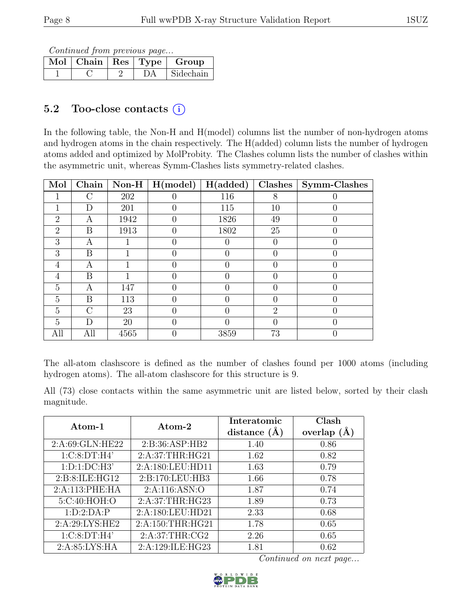Continued from previous page...

|  |    | Mol   Chain   Res   Type   Group |
|--|----|----------------------------------|
|  | DА | Sidechain                        |

# 5.2 Too-close contacts (i)

In the following table, the Non-H and H(model) columns list the number of non-hydrogen atoms and hydrogen atoms in the chain respectively. The H(added) column lists the number of hydrogen atoms added and optimized by MolProbity. The Clashes column lists the number of clashes within the asymmetric unit, whereas Symm-Clashes lists symmetry-related clashes.

| Mol            | Chain  |      | Non-H $\mid$ H(model) | H(added) | Clashes                     | Symm-Clashes     |
|----------------|--------|------|-----------------------|----------|-----------------------------|------------------|
|                | $\cap$ | 202  |                       | 116      | 8                           |                  |
|                | D      | 201  |                       | 115      | 10                          |                  |
| $\overline{2}$ | A      | 1942 |                       | 1826     | 49                          |                  |
| $\overline{2}$ | B      | 1913 |                       | 1802     | 25                          | $\left( \right)$ |
| 3              | А      |      |                       |          | $\Box$                      |                  |
| 3              | B      |      |                       |          | $\Box$                      |                  |
| 4              | А      |      |                       |          |                             |                  |
| 4              | B      |      |                       |          |                             |                  |
| 5              | А      | 147  |                       |          | $\left( \right)$            |                  |
| 5              | B      | 113  |                       |          |                             |                  |
| $\overline{5}$ | $\cap$ | 23   |                       |          | $\mathcal{D}_{\mathcal{A}}$ |                  |
| 5              | D      | 20   |                       |          | $\left( \right)$            |                  |
| All            | All    | 4565 |                       | 3859     | 73                          |                  |

The all-atom clashscore is defined as the number of clashes found per 1000 atoms (including hydrogen atoms). The all-atom clashscore for this structure is 9.

All (73) close contacts within the same asymmetric unit are listed below, sorted by their clash magnitude.

| Atom-1           | Atom-2           | Interatomic<br>distance $(A)$ | Clash<br>overlap $(A)$ |
|------------------|------------------|-------------------------------|------------------------|
|                  |                  |                               |                        |
| 2:A:69:GLN:HE22  | 2: B:36: ASP:HB2 | 1.40                          | 0.86                   |
| 1:C:8:DT:H4'     | 2:A:37:THR:HG21  | 1.62                          | 0.82                   |
| 1: D: 1: DC: H3' | 2:A:180:LEU:HD11 | 1.63                          | 0.79                   |
| 2:B:8:ILE:HG12   | 2:B:170:LEU:HB3  | 1.66                          | 0.78                   |
| 2:A:113:PHE:HA   | 2:A:116:ASN:O    | 1.87                          | 0.74                   |
| 5:C:40:HOH:O     | 2:A:37:THR:HG23  | 1.89                          | 0.73                   |
| 1:D:2:DA:P       | 2:A:180:LEU:HD21 | 2.33                          | 0.68                   |
| 2:A:29:LYS:HE2   | 2:A:150:THR:HG21 | 1.78                          | 0.65                   |
| 1:C:8:DT:H4'     | 2:A:37:THR:CG2   | 2.26                          | 0.65                   |
| 2:A:85:LYS:HA    | 2:A:129:ILE:HG23 | 1.81                          | 0.62                   |

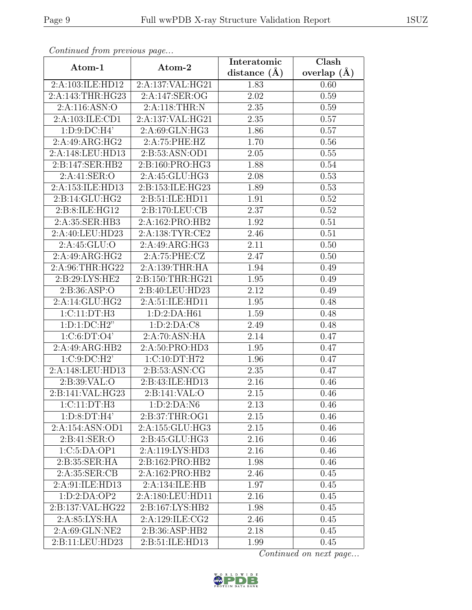| Continuea from previous page |                     | Interatomic       | Clash           |  |
|------------------------------|---------------------|-------------------|-----------------|--|
| Atom-1                       | Atom-2              | distance $(A)$    | overlap $(\AA)$ |  |
| 2:A:103:ILE:HD12             | 2:A:137:VAL:HG21    | 1.83              | 0.60            |  |
| 2:A:143:THR:HG23             | 2:A:147:SER:OG      | 2.02              | 0.59            |  |
| 2:A:116:ASN:O                | 2:A:118:THR:N       | 2.35              | 0.59            |  |
| 2:A:103:ILE:CD1              | 2:A:137:VAL:HG21    | 2.35              | 0.57            |  |
| 1:D:9:DC:H4'                 | 2:A:69:GLN:HG3      | 1.86              | 0.57            |  |
| 2:A:49:ARG:HG2               | 2:A:75:PHE:HZ       | 1.70              | 0.56            |  |
| 2:A:148:LEU:HD13             | 2:B:53:ASN:OD1      | 2.05              | 0.55            |  |
| 2:B:147:SER:HB2              | 2:B:160:PRO:HG3     | 1.88              | 0.54            |  |
| 2:A:41:SER:O                 | 2:A:45:GLU:HG3      | 2.08              | 0.53            |  |
| 2:A:153:ILE:HD13             | 2:B:153:ILE:HG23    | 1.89              | 0.53            |  |
| 2: B: 14: GLU: HG2           | 2:B:51:ILE:HD11     | 1.91              | 0.52            |  |
| 2:B:8:ILE:HG12               | 2: B: 170: LEU: CB  | 2.37              | 0.52            |  |
| 2:A:35:SER:HB3               | 2:A:162:PRO:HB2     | 1.92              | 0.51            |  |
| 2:A:40:LEU:HD23              | 2:A:138:TYR:CE2     | 2.46              | 0.51            |  |
| 2:A:45:GLU:O                 | 2:A:49:ARG:HG3      | 2.11              | 0.50            |  |
| 2:A:49:ARG:HG2               | 2:A:75:PHE:CZ       | 2.47              | 0.50            |  |
| 2:A:96:THR:HG22              | 2:A:139:THR:HA      | 1.94              | 0.49            |  |
| 2:B:29:LYS:HE2               | 2:B:150:THR:HG21    | 1.95              | 0.49            |  |
| 2: B: 36: ASP: O             | 2:B:40:LEU:HD23     | 2.12              | 0.49            |  |
| 2:A:14:GLU:HG2               | 2:A:51:ILE:HD11     | 1.95              | 0.48            |  |
| 1:C:11:DT:H3                 | 1:D:2:DA:H61        | 1.59              | 0.48            |  |
| $1: D: 1: DC: H2$ "          | 1: D: 2: DA: C8     | 2.49              | 0.48            |  |
| 1:C:6:DT:O4'                 | 2:A:70:ASN:HA       | 2.14              | 0.47            |  |
| 2:A:49:ARG:HB2               | 2:A:50:PRO:HD3      | $\overline{1}.95$ | 0.47            |  |
| 1:C:9:DC:H2'                 | 1:C:10:DT:H72       | 1.96              | 0.47            |  |
| 2:A:148:LEU:HD13             | 2:B:53:ASN:CG       | 2.35              | 0.47            |  |
| 2:B:39:VAL:O                 | 2:B:43:ILE:HD13     | 2.16              | 0.46            |  |
| 2:B:141:VAL:HG23             | 2:B:141:VAL:O       | 2.15              | 0.46            |  |
| 1:CI1:DT:HB                  | 1:D:2:DA:N6         | 2.13              | 0.46            |  |
| 1: D:8: DT:H4'               | 2:B:37:THR:OG1      | 2.15              | 0.46            |  |
| $2:A:154:\overline{ASN:OD1}$ | 2:A:155:GLU:HG3     | 2.15              | 0.46            |  |
| 2: B:41: SER:O               | 2:B:45:GLU:HG3      | 2.16              | 0.46            |  |
| 1:C:5:DA:OP1                 | 2:A:119:LYS:HD3     | 2.16              | 0.46            |  |
| 2:B:35:SER:HA                | 2: B: 162: PRO: HB2 | 1.98              | 0.46            |  |
| 2:A:35:SER:CB                | 2:A:162:PRO:HB2     | 2.46              | 0.45            |  |
| 2:A:91:ILE:HD13              | 2:A:134:ILE:HB      | 1.97              | 0.45            |  |
| 1:D:2:DA:OP2                 | 2:A:180:LEU:HD11    | 2.16              | 0.45            |  |
| 2:B:137:VAL:HG22             | 2:B:167:LYS:HB2     | 1.98              | 0.45            |  |
| 2:A:85:LYS:HA                | 2:A:129:ILE:CG2     | 2.46              | 0.45            |  |
| 2:A:69:GLN:NE2               | 2:B:36:ASP:HB2      | 2.18              | 0.45            |  |
| 2:B:11:LEU:HD23              | 2:B:51:ILE:HD13     | 1.99              | 0.45            |  |

Continued from previous page.

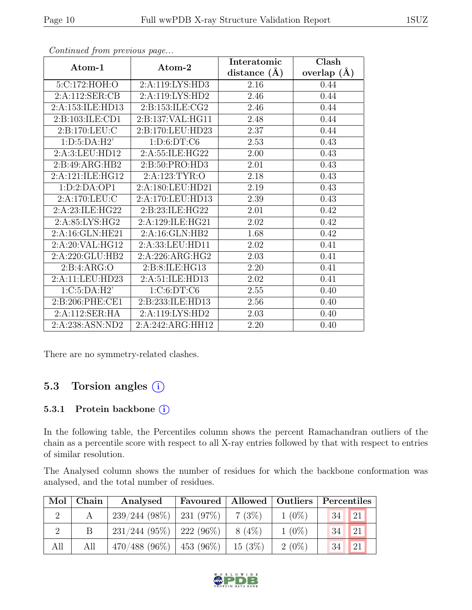|                  |                  | Interatomic       | Clash           |  |
|------------------|------------------|-------------------|-----------------|--|
| Atom-1           | Atom-2           | distance $(A)$    | overlap $(\AA)$ |  |
| 5:C:172:HOH:O    | 2:A:119:LYS:HD3  | 2.16              | 0.44            |  |
| 2:A:112:SER:CB   | 2:A:119:LYS:HD2  | 2.46              | 0.44            |  |
| 2:A:153:ILE:HD13 | 2:B:153:ILE:CG2  | 2.46              | 0.44            |  |
| 2:B:103:ILE:CD1  | 2:B:137:VAL:HG11 | 2.48              | 0.44            |  |
| 2:B:170:LEU:C    | 2:B:170:LEU:HD23 | 2.37              | 0.44            |  |
| 1: D:5:DA:H2'    | 1: D:6: DT: C6   | 2.53              | 0.43            |  |
| 2:A:3:LEU:HD12   | 2:A:55:ILE:HG22  | 2.00              | 0.43            |  |
| 2:B:49:ARG:HB2   | 2:B:50:PRO:HD3   | 2.01              | 0.43            |  |
| 2:A:121:ILE:HG12 | 2:A:123:TYR:O    | 2.18              | 0.43            |  |
| 1:D:2:DA:OP1     | 2:A:180:LEU:HD21 | 2.19              | 0.43            |  |
| 2:A:170:LEU:C    | 2:A:170:LEU:HD13 | 2.39              | 0.43            |  |
| 2:A:23:ILE:HG22  | 2:B:23:ILE:HG22  | 2.01              | 0.42            |  |
| 2:A:85:LYS:HG2   | 2:A:129:ILE:HG21 | 2.02              | 0.42            |  |
| 2:A:16:GLN:HE21  | 2:A:16:GLN:HB2   | 1.68              | 0.42            |  |
| 2:A:20:VAL:HG12  | 2:A:33:LEU:HD11  | 2.02              | 0.41            |  |
| 2:A:220:GLU:HB2  | 2:A:226:ARG:HG2  | 2.03              | 0.41            |  |
| 2: B: 4: ARG: O  | 2:B:8:ILE:HG13   | 2.20              | 0.41            |  |
| 2:A:11:LEU:HD23  | 2:A:51:ILE:HD13  | 2.02              | 0.41            |  |
| 1:C:5:DA:H2'     | 1:C:6:DT:C6      | $\overline{2.55}$ | 0.40            |  |
| 2:B:206:PHE:CE1  | 2:B:233:ILE:HD13 | 2.56              | 0.40            |  |
| 2:A:112:SER:HA   | 2:A:119:LYS:HD2  | 2.03              | 0.40            |  |
| 2:A:238:ASN:ND2  | 2:A:242:ARG:HH12 | 2.20              | 0.40            |  |

Continued from previous page...

There are no symmetry-related clashes.

# 5.3 Torsion angles (i)

#### 5.3.1 Protein backbone ①

In the following table, the Percentiles column shows the percent Ramachandran outliers of the chain as a percentile score with respect to all X-ray entries followed by that with respect to entries of similar resolution.

The Analysed column shows the number of residues for which the backbone conformation was analysed, and the total number of residues.

|     | Mol   Chain | Analysed                      | Favoured |           | Allowed   Outliers | Percentiles |               |
|-----|-------------|-------------------------------|----------|-----------|--------------------|-------------|---------------|
|     |             | $239/244$ (98%)   231 (97%)   |          | $7(3\%)$  | $1(0\%)$           | 34          | <sup>21</sup> |
|     |             | $231/244$ (95\%)   222 (96\%) |          | $8(4\%)$  | $1(0\%)$           | 34          | 21            |
| All | All         | $470/488$ (96\%)   453 (96\%) |          | $15(3\%)$ | $2(0\%)$           | 34          | <sup>21</sup> |

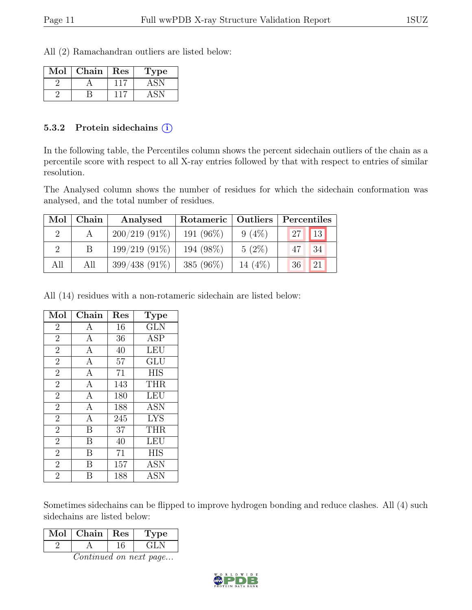All (2) Ramachandran outliers are listed below:

| Mol | Chain | Res | Type |
|-----|-------|-----|------|
|     |       |     |      |
|     |       |     |      |

#### 5.3.2 Protein sidechains  $(i)$

In the following table, the Percentiles column shows the percent sidechain outliers of the chain as a percentile score with respect to all X-ray entries followed by that with respect to entries of similar resolution.

The Analysed column shows the number of residues for which the sidechain conformation was analysed, and the total number of residues.

| Mol | Chain | Analysed        | Rotameric    | Outliers | Percentiles |
|-----|-------|-----------------|--------------|----------|-------------|
|     |       | $200/219(91\%)$ | 191 (96%)    | $9(4\%)$ | 13<br>27    |
|     |       | $199/219(91\%)$ | 194 (98%)    | $5(2\%)$ | 34<br>47    |
| All | All   | $399/438(91\%)$ | 385 $(96\%)$ | 14 (4\%) | 21<br>36    |

All (14) residues with a non-rotameric sidechain are listed below:

| Mol            | Chain                   | Res | <b>Type</b> |
|----------------|-------------------------|-----|-------------|
| $\overline{2}$ | A                       | 16  | <b>GLN</b>  |
| $\overline{2}$ | A                       | 36  | ASP         |
| $\overline{2}$ | $\mathbf{A}$            | 40  | <b>LEU</b>  |
| $\overline{2}$ | $\mathbf{A}$            | 57  | GLU         |
| $\overline{2}$ | $\overline{A}$          | 71  | <b>HIS</b>  |
| $\overline{2}$ | $\mathbf{A}$            | 143 | <b>THR</b>  |
| $\overline{2}$ | $\mathbf{A}$            | 180 | <b>LEU</b>  |
| $\overline{2}$ | $\overline{A}$          | 188 | <b>ASN</b>  |
| $\overline{2}$ | $\mathbf{A}$            | 245 | <b>LYS</b>  |
| $\overline{2}$ | $\overline{\mathrm{B}}$ | 37  | <b>THR</b>  |
| $\overline{2}$ | B                       | 40  | LEU         |
| $\overline{2}$ | B                       | 71  | <b>HIS</b>  |
| $\overline{2}$ | B                       | 157 | <b>ASN</b>  |
| $\overline{2}$ | Β                       | 188 | <b>ASN</b>  |

Sometimes sidechains can be flipped to improve hydrogen bonding and reduce clashes. All (4) such sidechains are listed below:

| Mol | Chain | $\parallel$ Res | рe   |
|-----|-------|-----------------|------|
|     |       |                 | - 11 |

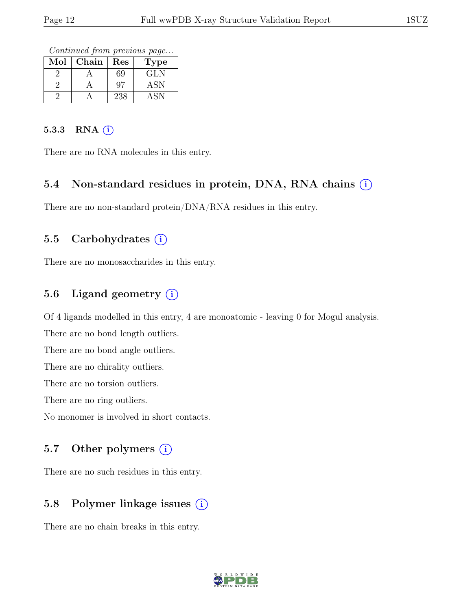Continued from previous page...

| Mol | Chain | Res | l'ype |
|-----|-------|-----|-------|
|     |       | 69  | GLN   |
|     |       | 97  | ASN   |
|     |       | 238 |       |

#### 5.3.3 RNA (i)

There are no RNA molecules in this entry.

#### 5.4 Non-standard residues in protein, DNA, RNA chains (i)

There are no non-standard protein/DNA/RNA residues in this entry.

## 5.5 Carbohydrates  $(i)$

There are no monosaccharides in this entry.

## 5.6 Ligand geometry  $(i)$

Of 4 ligands modelled in this entry, 4 are monoatomic - leaving 0 for Mogul analysis.

There are no bond length outliers.

There are no bond angle outliers.

There are no chirality outliers.

There are no torsion outliers.

There are no ring outliers.

No monomer is involved in short contacts.

### 5.7 Other polymers  $(i)$

There are no such residues in this entry.

## 5.8 Polymer linkage issues  $(i)$

There are no chain breaks in this entry.